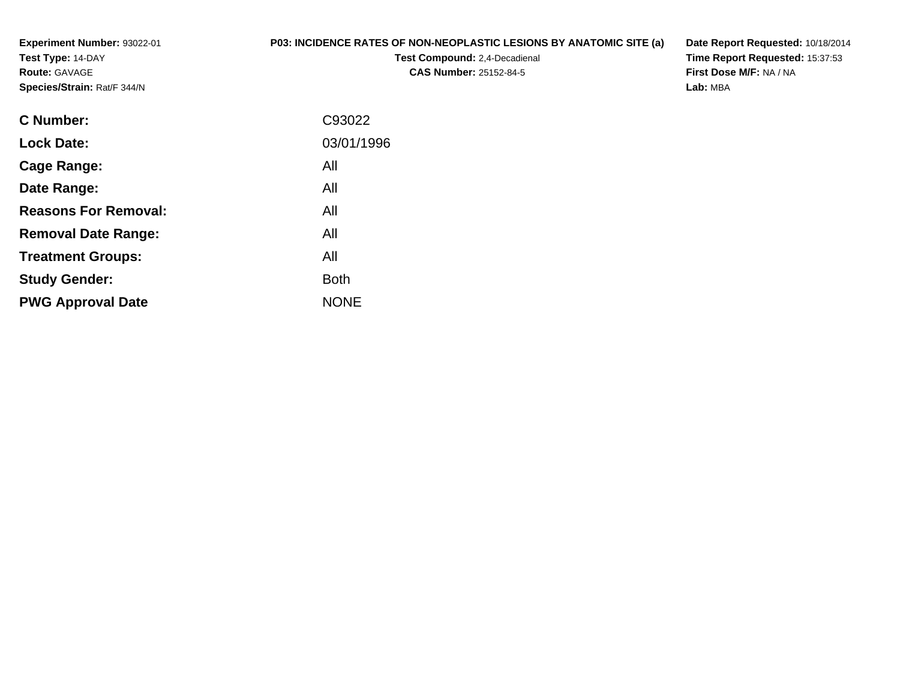**Experiment Number:** 93022-01**Test Type:** 14-DAY**Route:** GAVAGE**Species/Strain:** Rat/F 344/N

## **P03: INCIDENCE RATES OF NON-NEOPLASTIC LESIONS BY ANATOMIC SITE (a)**

**Test Compound:** 2,4-Decadienal **CAS Number:** 25152-84-5

**Date Report Requested:** 10/18/2014 **Time Report Requested:** 15:37:53**First Dose M/F:** NA / NA**Lab:** MBA

| <b>C</b> Number:            | C93022      |
|-----------------------------|-------------|
| <b>Lock Date:</b>           | 03/01/1996  |
| Cage Range:                 | All         |
| Date Range:                 | All         |
| <b>Reasons For Removal:</b> | All         |
| <b>Removal Date Range:</b>  | All         |
| <b>Treatment Groups:</b>    | All         |
| <b>Study Gender:</b>        | <b>Both</b> |
| <b>PWG Approval Date</b>    | <b>NONE</b> |
|                             |             |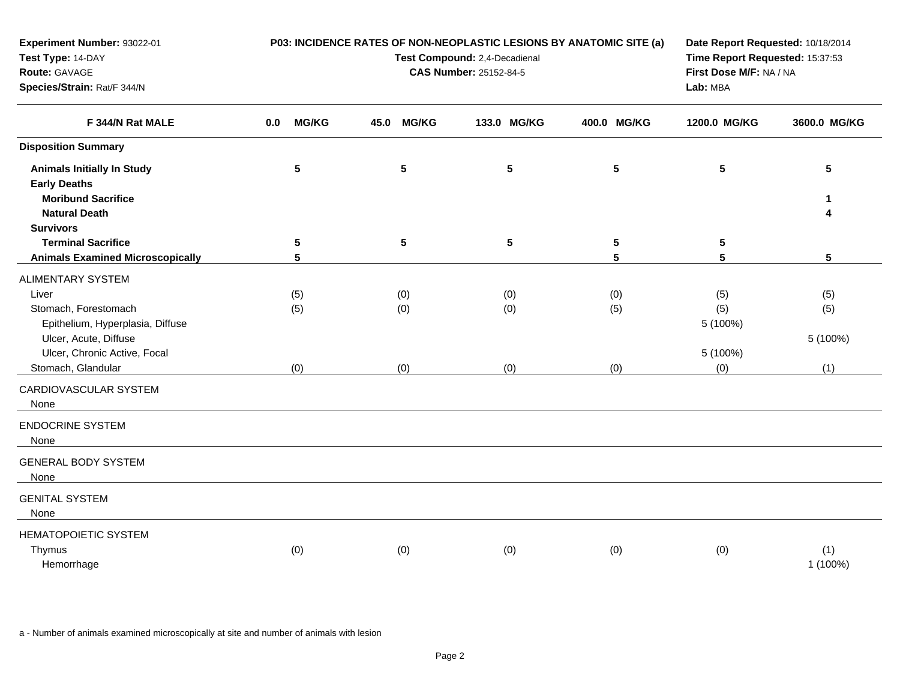| <b>Experiment Number: 93022-01</b><br>Test Type: 14-DAY<br>Route: GAVAGE<br>Species/Strain: Rat/F 344/N                                                                                                                                  |                      | P03: INCIDENCE RATES OF NON-NEOPLASTIC LESIONS BY ANATOMIC SITE (a)<br>Test Compound: 2,4-Decadienal<br><b>CAS Number: 25152-84-5</b> | Date Report Requested: 10/18/2014<br>Time Report Requested: 15:37:53<br>First Dose M/F: NA / NA<br>Lab: MBA |                   |                                           |                               |
|------------------------------------------------------------------------------------------------------------------------------------------------------------------------------------------------------------------------------------------|----------------------|---------------------------------------------------------------------------------------------------------------------------------------|-------------------------------------------------------------------------------------------------------------|-------------------|-------------------------------------------|-------------------------------|
| F 344/N Rat MALE                                                                                                                                                                                                                         | <b>MG/KG</b><br>0.0  | 45.0<br><b>MG/KG</b>                                                                                                                  | 133.0 MG/KG                                                                                                 | 400.0 MG/KG       | 1200.0 MG/KG                              | 3600.0 MG/KG                  |
| <b>Disposition Summary</b>                                                                                                                                                                                                               |                      |                                                                                                                                       |                                                                                                             |                   |                                           |                               |
| <b>Animals Initially In Study</b><br><b>Early Deaths</b><br><b>Moribund Sacrifice</b>                                                                                                                                                    | 5                    | $5\phantom{.0}$                                                                                                                       | $5\phantom{.0}$                                                                                             | $5\phantom{.0}$   | 5                                         | 5<br>$\mathbf 1$              |
| <b>Natural Death</b><br><b>Survivors</b>                                                                                                                                                                                                 |                      |                                                                                                                                       |                                                                                                             |                   |                                           | 4                             |
| <b>Terminal Sacrifice</b><br><b>Animals Examined Microscopically</b>                                                                                                                                                                     | $5\phantom{.0}$<br>5 | ${\bf 5}$                                                                                                                             | $5\phantom{.0}$                                                                                             | 5<br>5            | 5<br>5                                    | $5\phantom{.0}$               |
| <b>ALIMENTARY SYSTEM</b><br>Liver<br>Stomach, Forestomach<br>Epithelium, Hyperplasia, Diffuse<br>Ulcer, Acute, Diffuse<br>Ulcer, Chronic Active, Focal<br>Stomach, Glandular<br>CARDIOVASCULAR SYSTEM<br>None<br><b>ENDOCRINE SYSTEM</b> | (5)<br>(5)<br>(0)    | (0)<br>(0)<br>(0)                                                                                                                     | (0)<br>(0)<br>(0)                                                                                           | (0)<br>(5)<br>(0) | (5)<br>(5)<br>5 (100%)<br>5 (100%)<br>(0) | (5)<br>(5)<br>5 (100%)<br>(1) |
| None<br><b>GENERAL BODY SYSTEM</b><br>None                                                                                                                                                                                               |                      |                                                                                                                                       |                                                                                                             |                   |                                           |                               |
| <b>GENITAL SYSTEM</b><br>None<br><b>HEMATOPOIETIC SYSTEM</b><br>Thymus<br>Hemorrhage                                                                                                                                                     | (0)                  | (0)                                                                                                                                   | (0)                                                                                                         | (0)               | (0)                                       | (1)<br>1 (100%)               |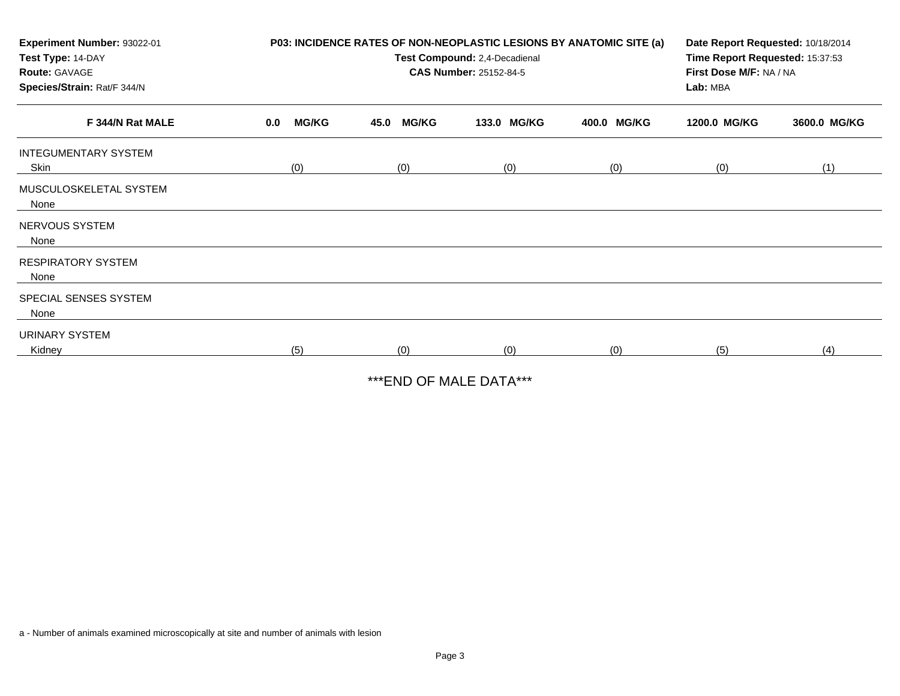| Experiment Number: 93022-01<br>Test Type: 14-DAY<br><b>Route: GAVAGE</b><br>Species/Strain: Rat/F 344/N | P03: INCIDENCE RATES OF NON-NEOPLASTIC LESIONS BY ANATOMIC SITE (a) | Date Report Requested: 10/18/2014<br>Time Report Requested: 15:37:53<br>First Dose M/F: NA / NA<br>Lab: MBA |             |             |              |              |
|---------------------------------------------------------------------------------------------------------|---------------------------------------------------------------------|-------------------------------------------------------------------------------------------------------------|-------------|-------------|--------------|--------------|
| F 344/N Rat MALE                                                                                        | <b>MG/KG</b><br>0.0                                                 | <b>MG/KG</b><br>45.0                                                                                        | 133.0 MG/KG | 400.0 MG/KG | 1200.0 MG/KG | 3600.0 MG/KG |
| <b>INTEGUMENTARY SYSTEM</b><br>Skin                                                                     | (0)<br>(0)<br>(0)<br>(0)                                            |                                                                                                             |             | (0)         | (1)          |              |
| MUSCULOSKELETAL SYSTEM<br>None                                                                          |                                                                     |                                                                                                             |             |             |              |              |
| NERVOUS SYSTEM<br>None                                                                                  |                                                                     |                                                                                                             |             |             |              |              |
| <b>RESPIRATORY SYSTEM</b><br>None                                                                       |                                                                     |                                                                                                             |             |             |              |              |
| SPECIAL SENSES SYSTEM<br>None                                                                           |                                                                     |                                                                                                             |             |             |              |              |
| URINARY SYSTEM<br>Kidney                                                                                | (5)                                                                 | (0)                                                                                                         | (0)         | (0)         | (5)          | (4)          |

\*\*\*END OF MALE DATA\*\*\*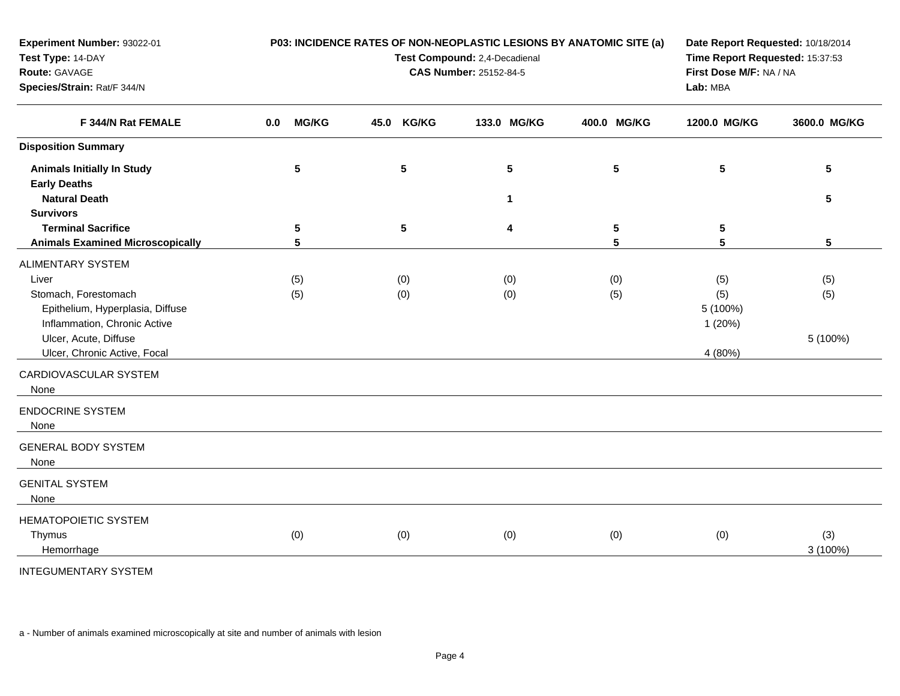| <b>Experiment Number: 93022-01</b><br>Test Type: 14-DAY<br>Route: GAVAGE<br>Species/Strain: Rat/F 344/N                                                                                |                     | P03: INCIDENCE RATES OF NON-NEOPLASTIC LESIONS BY ANATOMIC SITE (a)<br>Test Compound: 2,4-Decadienal<br><b>CAS Number: 25152-84-5</b> | Date Report Requested: 10/18/2014<br>Time Report Requested: 15:37:53<br>First Dose M/F: NA / NA<br>Lab: MBA |             |                                             |                        |
|----------------------------------------------------------------------------------------------------------------------------------------------------------------------------------------|---------------------|---------------------------------------------------------------------------------------------------------------------------------------|-------------------------------------------------------------------------------------------------------------|-------------|---------------------------------------------|------------------------|
| F 344/N Rat FEMALE                                                                                                                                                                     | <b>MG/KG</b><br>0.0 | <b>KG/KG</b><br>45.0                                                                                                                  | 133.0 MG/KG                                                                                                 | 400.0 MG/KG | 1200.0 MG/KG                                | 3600.0 MG/KG           |
| <b>Disposition Summary</b>                                                                                                                                                             |                     |                                                                                                                                       |                                                                                                             |             |                                             |                        |
| <b>Animals Initially In Study</b><br><b>Early Deaths</b>                                                                                                                               | $5\phantom{.0}$     | 5                                                                                                                                     | $5\phantom{.0}$                                                                                             | 5           | 5                                           | $5\phantom{.0}$        |
| <b>Natural Death</b><br><b>Survivors</b>                                                                                                                                               |                     |                                                                                                                                       | 1                                                                                                           |             |                                             | $5\phantom{.0}$        |
| <b>Terminal Sacrifice</b><br><b>Animals Examined Microscopically</b>                                                                                                                   | 5<br>5              | 5                                                                                                                                     | $\overline{\mathbf{4}}$                                                                                     | 5<br>5      | 5<br>5                                      | $5\phantom{.0}$        |
| <b>ALIMENTARY SYSTEM</b><br>Liver<br>Stomach, Forestomach<br>Epithelium, Hyperplasia, Diffuse<br>Inflammation, Chronic Active<br>Ulcer, Acute, Diffuse<br>Ulcer, Chronic Active, Focal | (5)<br>(5)          | (0)<br>(0)                                                                                                                            | (0)<br>(0)                                                                                                  | (0)<br>(5)  | (5)<br>(5)<br>5 (100%)<br>1(20%)<br>4 (80%) | (5)<br>(5)<br>5 (100%) |
| CARDIOVASCULAR SYSTEM<br>None                                                                                                                                                          |                     |                                                                                                                                       |                                                                                                             |             |                                             |                        |
| <b>ENDOCRINE SYSTEM</b><br>None                                                                                                                                                        |                     |                                                                                                                                       |                                                                                                             |             |                                             |                        |
| <b>GENERAL BODY SYSTEM</b><br>None                                                                                                                                                     |                     |                                                                                                                                       |                                                                                                             |             |                                             |                        |
| <b>GENITAL SYSTEM</b><br>None                                                                                                                                                          |                     |                                                                                                                                       |                                                                                                             |             |                                             |                        |
| HEMATOPOIETIC SYSTEM<br>Thymus<br>Hemorrhage                                                                                                                                           | (0)                 | (0)                                                                                                                                   | (0)                                                                                                         | (0)         | (0)                                         | (3)<br>$3(100\%)$      |
| <b>INTEGUMENTARY SYSTEM</b>                                                                                                                                                            |                     |                                                                                                                                       |                                                                                                             |             |                                             |                        |